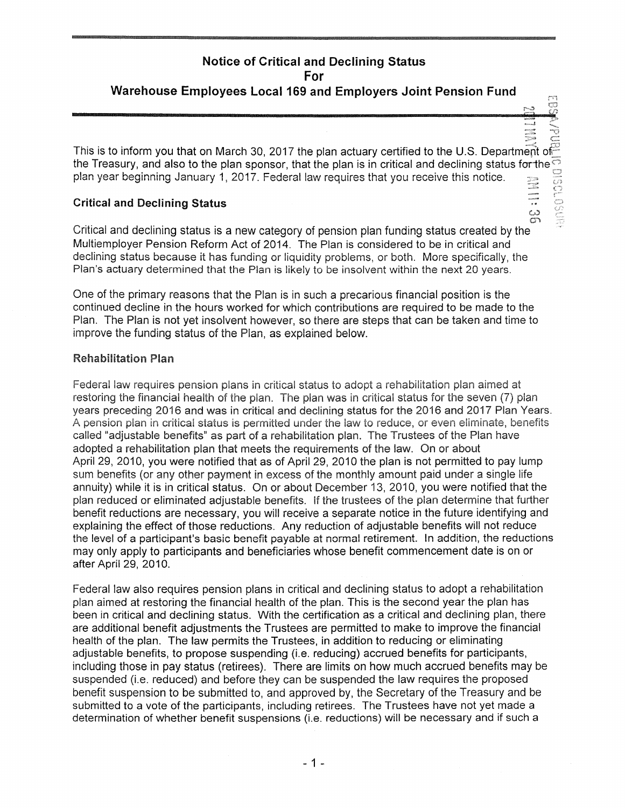# **Notice of Critical and Declining Status**

**For** 

# **Warehouse Employees Local 169 and Employers Joint Pension Fund**

- 5

 $\mathbb{R}$  c:

::ii;:; --' --0 This is to inform you that on March 30, 2017 the plan actuary certified to the U.S. Department of the Treasury, and also to the plan sponsor, that the plan is in critical and declining status for the plan year beginning January 1, 2017. Federal law requires that you receive this notice.<br>Critical and Declining Status plan year beginning January 1, 2017. Federal law requires that you receive this notice.

## **Critical and Declining Status**

w en Critical and declining status is a new category of pension plan funding status created by the Multiemployer Pension Reform Act of 2014. The Plan is considered to be in critical and declining status because it has funding or liquidity problems, or both. More specifically, the Plan's actuary determined that the Plan is likely to be insolvent within the next 20 years.

One of the primary reasons that the Plan is in such a precarious financial position is the continued decline in the hours worked for which contributions are required to be made to the Plan. The Plan is not yet insolvent however, so there are steps that can be taken and time to improve the funding status of the Plan, as explained below.

## **Rehabilitation Plan**

Federal law requires pension plans in critical status to adopt a rehabilitation plan aimed at restoring the financial health of the plan. The plan was in critical status for the seven (7) plan years preceding 2016 and was in critical and declining status for the 2016 and 2017 Plan Years. A pension plan in critical status is permitted under the law to reduce, or even eliminate, benefits called "adjustable benefits" as part of a rehabilitation plan. The Trustees of the Plan have adopted a rehabilitation plan that meets the requirements of the law. On or about April 29, 2010, you were notified that as of April 29, 2010 the plan is not permitted to pay lump sum benefits (or any other payment in excess of the monthly amount paid under a single life annuity) while it is in critical status. On or about December 13, 2010, you were notified that the plan reduced or eliminated adjustable benefits. If the trustees of the plan determine that further benefit reductions are necessary, you will receive a separate notice in the future identifying and explaining the effect of those reductions. Any reduction of adjustable benefits will not reduce the level of a participant's basic benefit payable at normal retirement. In addition, the reductions may only apply to participants and beneficiaries whose benefit commencement date is on or after April 29, 2010.

Federal law also requires pension plans in critical and declining status to adopt a rehabilitation plan aimed at restoring the financial health of the plan. This is the second year the plan has been in critical and declining status. With the certification as a critical and declining plan, there are additional benefit adjustments the Trustees are permitted to make to improve the financial health of the plan. The law permits the Trustees, in addition to reducing or eliminating adjustable benefits, to propose suspending (i.e. reducing) accrued benefits for participants, including those in pay status (retirees). There are limits on how much accrued benefits may be suspended (i.e. reduced) and before they can be suspended the law requires the proposed benefit suspension to be submitted to, and approved by, the Secretary of the Treasury and be submitted to a vote of the participants, including retirees. The Trustees have not yet made a determination of whether benefit suspensions (i.e. reductions) will be necessary and if such a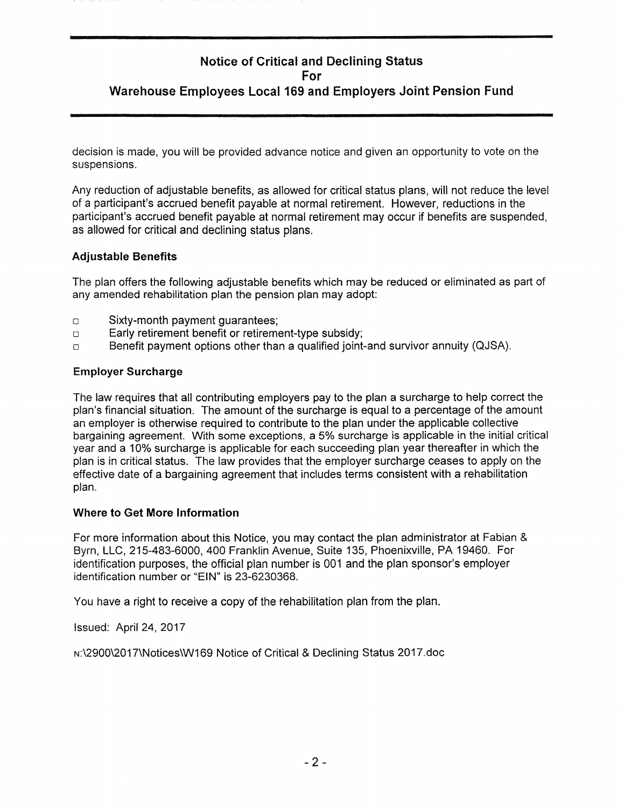# **Notice of Critical and Declining Status**

**For** 

## **Warehouse Employees Local 169 and Employers Joint Pension Fund**

decision is made, you will be provided advance notice and given an opportunity to vote on the suspensions.

Any reduction of adjustable benefits, as allowed for critical status plans, will not reduce the level of a participant's accrued benefit payable at normal retirement. However, reductions in the participant's accrued benefit payable at normal retirement may occur if benefits are suspended, as allowed for critical and declining status plans.

### **Adjustable Benefits**

The plan offers the following adjustable benefits which may be reduced or eliminated as part of any amended rehabilitation plan the pension plan may adopt:

- o Sixty-month payment guarantees;
- o Early retirement benefit or retirement-type subsidy;
- o Benefit payment options other than a qualified joint-and survivor annuity (QJSA).

#### **Employer Surcharge**

The law requires that all contributing employers pay to the plan a surcharge to help correct the plan's financial situation. The amount of the surcharge is equal to a percentage of the amount an employer is otherwise required to contribute to the plan under the applicable collective bargaining agreement. With some exceptions, a 5% surcharge is applicable in the initial critical year and a 10% surcharge is applicable for each succeeding plan year thereafter in which the plan is in critical status. The law provides that the employer surcharge ceases to apply on the effective date of a bargaining agreement that includes terms consistent with a rehabilitation plan.

#### **Where to Get More Information**

For more information about this Notice, you may contact the plan administrator at Fabian & Byrn, LLC, 215-483-6000, 400 Franklin Avenue, Suite 135, Phoenixville, PA 19460. For identification purposes, the official plan number is 001 and the plan sponsor's employer identification number or "EIN" is 23-6230368.

You have a right to receive a copy of the rehabilitation plan from the plan.

Issued: April 24, 2017

N:\2900\2017\Notices\W169 Notice of Critical & Declining Status 2017.doc